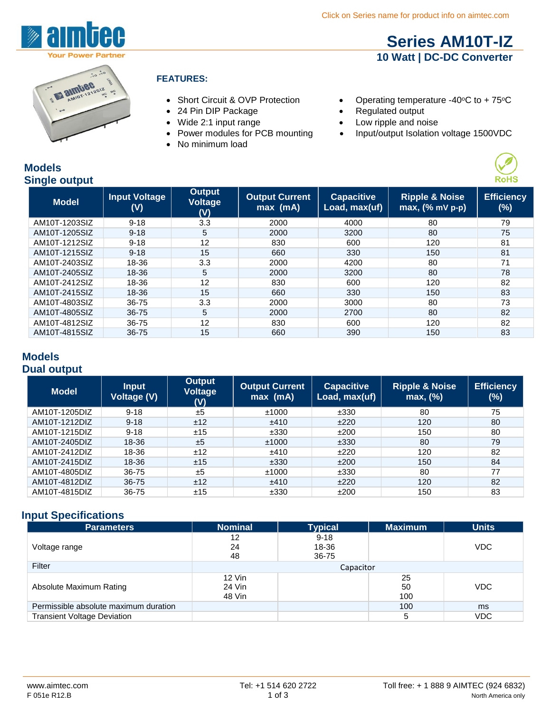

## **Series AM10T-IZ 10 Watt | DC-DC Converter**



#### **FEATURES:**

- 
- 24 Pin DIP Package Regulated output
- 
- Power modules for PCB mounting
- No minimum load
- Short Circuit & OVP Protection Operating temperature -40°C to +75°C
	-
- Wide 2:1 input range Low ripple and noise
	- Input/output Isolation voltage 1500VDC



| <b>Single output</b> |                             |                                 |                                     |                                    |                                                   | <b>RoHS</b>                 |
|----------------------|-----------------------------|---------------------------------|-------------------------------------|------------------------------------|---------------------------------------------------|-----------------------------|
| <b>Model</b>         | <b>Input Voltage</b><br>(V) | <b>Output</b><br>Voltage<br>(V) | <b>Output Current</b><br>$max$ (mA) | <b>Capacitive</b><br>Load, max(uf) | <b>Ripple &amp; Noise</b><br>$max$ , $(%$ mV p-p) | <b>Efficiency</b><br>$(\%)$ |
| AM10T-1203SIZ        | $9 - 18$                    | 3.3                             | 2000                                | 4000                               | 80                                                | 79                          |
| AM10T-1205SIZ        | $9 - 18$                    | 5                               | 2000                                | 3200                               | 80                                                | 75                          |
| AM10T-1212SIZ        | $9 - 18$                    | 12                              | 830                                 | 600                                | 120                                               | 81                          |
| AM10T-1215SIZ        | $9 - 18$                    | 15                              | 660                                 | 330                                | 150                                               | 81                          |
| AM10T-2403SIZ        | 18-36                       | 3.3                             | 2000                                | 4200                               | 80                                                | 71                          |
| AM10T-2405SIZ        | 18-36                       | 5                               | 2000                                | 3200                               | 80                                                | 78                          |
| AM10T-2412SIZ        | 18-36                       | 12                              | 830                                 | 600                                | 120                                               | 82                          |
| AM10T-2415SIZ        | 18-36                       | 15                              | 660                                 | 330                                | 150                                               | 83                          |
| AM10T-4803SIZ        | 36-75                       | 3.3                             | 2000                                | 3000                               | 80                                                | 73                          |
| AM10T-4805SIZ        | 36-75                       | 5                               | 2000                                | 2700                               | 80                                                | 82                          |
| AM10T-4812SIZ        | 36-75                       | 12                              | 830                                 | 600                                | 120                                               | 82                          |
| AM10T-4815SIZ        | 36-75                       | 15                              | 660                                 | 390                                | 150                                               | 83                          |

#### **Models Dual output**

**Models**

| <b>Model</b>  | <b>Input</b><br>Voltage (V) | <b>Output</b><br><b>Voltage</b><br>(V) | <b>Output Current</b><br>$max$ (mA) | <b>Capacitive</b><br>Load, max(uf) | <b>Ripple &amp; Noise</b><br>max, (%) | <b>Efficiency</b><br>$(\%)$ |
|---------------|-----------------------------|----------------------------------------|-------------------------------------|------------------------------------|---------------------------------------|-----------------------------|
| AM10T-1205DIZ | $9 - 18$                    | ±5                                     | ±1000                               | ±330                               | 80                                    | 75                          |
| AM10T-1212DIZ | $9 - 18$                    | ±12                                    | ±410                                | ±220                               | 120                                   | 80                          |
| AM10T-1215DIZ | $9 - 18$                    | ±15                                    | ±330                                | ±200                               | 150                                   | 80                          |
| AM10T-2405DIZ | 18-36                       | ±5                                     | ±1000                               | ±330                               | 80                                    | 79                          |
| AM10T-2412DIZ | 18-36                       | ±12                                    | ±410                                | ±220                               | 120                                   | 82                          |
| AM10T-2415DIZ | 18-36                       | ±15                                    | ±330                                | ±200                               | 150                                   | 84                          |
| AM10T-4805DIZ | 36-75                       | ±5                                     | ±1000                               | ±330                               | 80                                    | 77                          |
| AM10T-4812DIZ | 36-75                       | ±12                                    | ±410                                | ±220                               | 120                                   | 82                          |
| AM10T-4815DIZ | 36-75                       | ±15                                    | ±330                                | ±200                               | 150                                   | 83                          |

## **Input Specifications**

| <b>Parameters</b>                     | <b>Nominal</b>               | <b>Typical</b>             | <b>Maximum</b>  | <b>Units</b> |
|---------------------------------------|------------------------------|----------------------------|-----------------|--------------|
| Voltage range                         | 12<br>24<br>48               | $9 - 18$<br>18-36<br>36-75 |                 | <b>VDC</b>   |
| Filter                                | Capacitor                    |                            |                 |              |
| Absolute Maximum Rating               | $12$ Vin<br>24 Vin<br>48 Vin |                            | 25<br>50<br>100 | <b>VDC</b>   |
| Permissible absolute maximum duration |                              |                            | 100             | ms           |
| <b>Transient Voltage Deviation</b>    |                              |                            | 5               | <b>VDC</b>   |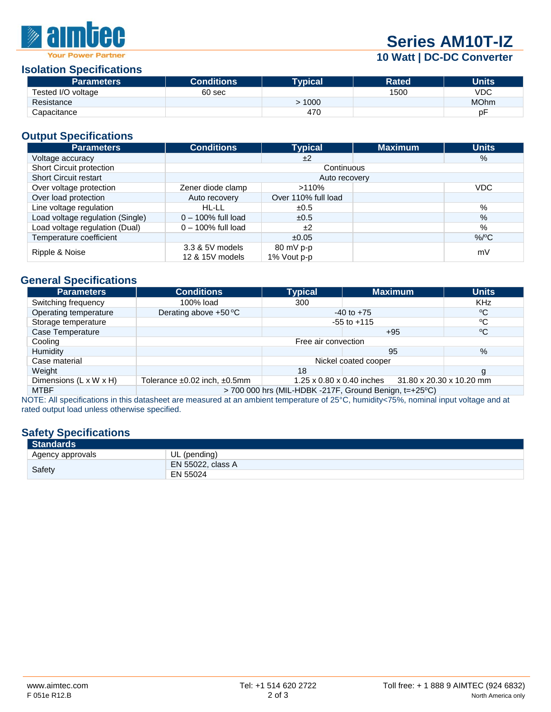

# **Series AM10T-IZ**

## **10 Watt | DC-DC Converter**

#### **Isolation Specifications**

| <b>Parameters</b>  | <b>Conditions</b> | Tvpical | <b>Rated</b> | Units       |
|--------------------|-------------------|---------|--------------|-------------|
| Tested I/O voltage | 60 sec            |         | 1500         | VDC         |
| Resistance         |                   | 1000    |              | <b>MOhm</b> |
| Capacitance        |                   | 470     |              | рF          |

### **Output Specifications**

| <b>Parameters</b>                | <b>Conditions</b>                  | <b>Typical</b>                     | <b>Maximum</b> | <b>Units</b>  |  |  |
|----------------------------------|------------------------------------|------------------------------------|----------------|---------------|--|--|
| Voltage accuracy                 |                                    | ±2                                 |                | $\frac{9}{6}$ |  |  |
| Short Circuit protection         | Continuous                         |                                    |                |               |  |  |
| <b>Short Circuit restart</b>     | Auto recovery                      |                                    |                |               |  |  |
| Over voltage protection          | Zener diode clamp                  | >110%                              |                | <b>VDC</b>    |  |  |
| Over load protection             | Auto recovery                      | Over 110% full load                |                |               |  |  |
| Line voltage regulation          | HL-LL                              | ±0.5                               |                | %             |  |  |
| Load voltage regulation (Single) | $0 - 100\%$ full load              | ±0.5                               |                | %             |  |  |
| Load voltage regulation (Dual)   | $0 - 100\%$ full load              | ±2                                 |                | $\%$          |  |  |
| Temperature coefficient          |                                    | ±0.05                              |                | $%$ /°C       |  |  |
| Ripple & Noise                   | 3.3 & 5V models<br>12 & 15V models | $80 \text{ mV}$ p-p<br>1% Vout p-p |                | mV            |  |  |

#### **General Specifications**

| <b>Parameters</b>      | <b>Conditions</b>                                                                     | <b>Typical</b>  | <b>Maximum</b> | <b>Units</b> |
|------------------------|---------------------------------------------------------------------------------------|-----------------|----------------|--------------|
| Switching frequency    | 100% load                                                                             | 300             |                | <b>KHz</b>   |
| Operating temperature  | Derating above +50 °C                                                                 | $-40$ to $+75$  |                | ∘C           |
| Storage temperature    |                                                                                       | $-55$ to $+115$ |                | °C           |
| Case Temperature       |                                                                                       |                 | $+95$          | °C           |
| Cooling                | Free air convection                                                                   |                 |                |              |
| Humidity               |                                                                                       |                 | 95             | $\%$         |
| Case material          | Nickel coated cooper                                                                  |                 |                |              |
| Weight                 |                                                                                       | 18              |                | g            |
| Dimensions (L x W x H) | 1.25 x 0.80 x 0.40 inches<br>31.80 x 20.30 x 10.20 mm<br>Tolerance ±0.02 inch, ±0.5mm |                 |                |              |
| <b>MTBF</b>            | $>$ 700 000 hrs (MIL-HDBK -217F, Ground Benign, t=+25 $\degree$ C)                    |                 |                |              |

NOTE: All specifications in this datasheet are measured at an ambient temperature of 25°C, humidity<75%, nominal input voltage and at rated output load unless otherwise specified.

## **Safety Specifications**

| <b>Standards</b> |                          |
|------------------|--------------------------|
| Agency approvals | UL (pending)             |
| Safety           | <b>EN 55022, class A</b> |
|                  | EN 55024                 |